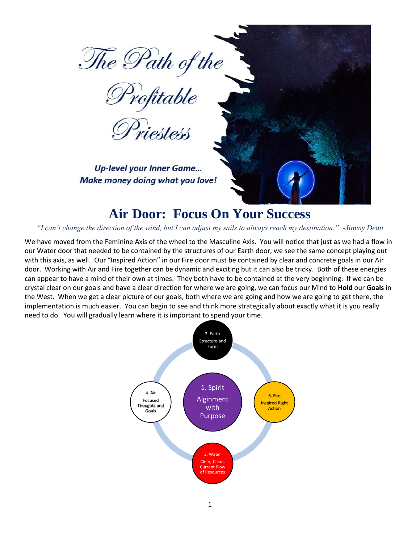



**Up-level your Inner Game...** Make money doing what you love!

### **Air Door: Focus On Your Success**

#### *"I can't change the direction of the wind, but I can adjust my sails to always reach my destination." -Jimmy Dean*

We have moved from the Feminine Axis of the wheel to the Masculine Axis. You will notice that just as we had a flow in our Water door that needed to be contained by the structures of our Earth door, we see the same concept playing out with this axis, as well. Our "Inspired Action" in our Fire door must be contained by clear and concrete goals in our Air door. Working with Air and Fire together can be dynamic and exciting but it can also be tricky. Both of these energies can appear to have a mind of their own at times. They both have to be contained at the very beginning. If we can be crystal clear on our goals and have a clear direction for where we are going, we can focus our Mind to **Hold** our **Goals** in the West. When we get a clear picture of our goals, both where we are going and how we are going to get there, the implementation is much easier. You can begin to see and think more strategically about exactly what it is you really need to do. You will gradually learn where it is important to spend your time.

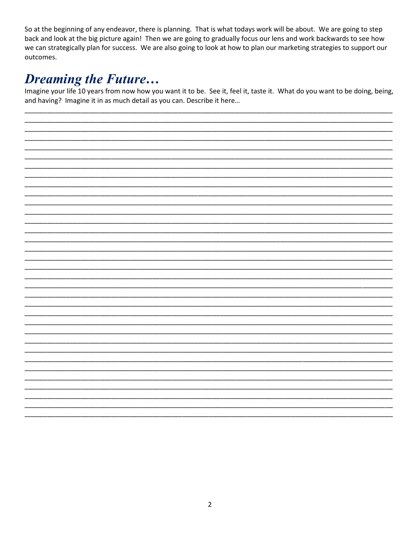So at the beginning of any endeavor, there is planning. That is what todays work will be about. We are going to step back and look at the big picture again! Then we are going to gradually focus our lens and work backwards to see how we can strategically plan for success. We are also going to look at how to plan our marketing strategies to support our outcomes.

## **Dreaming the Future...**

Imagine your life 10 years from now how you want it to be. See it, feel it, taste it. What do you want to be doing, being, and having? Imagine it in as much detail as you can. Describe it here...

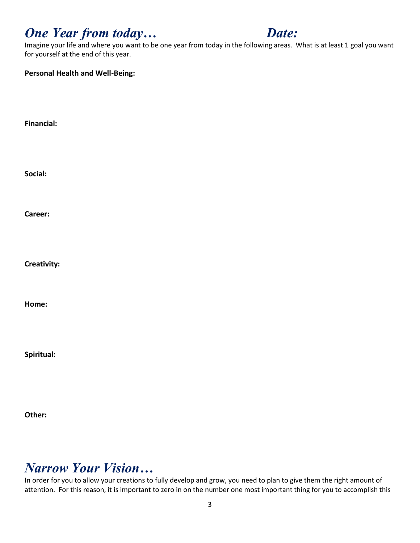## *One Year from today… Date:*



Imagine your life and where you want to be one year from today in the following areas. What is at least 1 goal you want for yourself at the end of this year.

| <b>Personal Health and Well-Being:</b> |  |  |
|----------------------------------------|--|--|
|                                        |  |  |
| <b>Financial:</b>                      |  |  |
|                                        |  |  |
| Social:                                |  |  |
|                                        |  |  |
| Career:                                |  |  |
|                                        |  |  |
| Creativity:                            |  |  |
|                                        |  |  |
| Home:                                  |  |  |
|                                        |  |  |

**Spiritual:**

**Other:**

### *Narrow Your Vision…*

In order for you to allow your creations to fully develop and grow, you need to plan to give them the right amount of attention. For this reason, it is important to zero in on the number one most important thing for you to accomplish this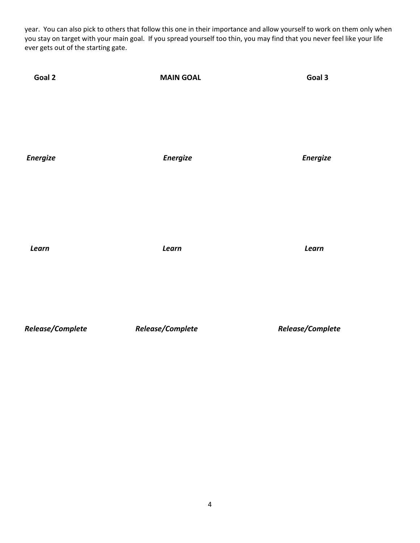year. You can also pick to others that follow this one in their importance and allow yourself to work on them only when you stay on target with your main goal. If you spread yourself too thin, you may find that you never feel like your life ever gets out of the starting gate.

| Goal 2          | <b>MAIN GOAL</b> | Goal 3          |
|-----------------|------------------|-----------------|
|                 |                  |                 |
| <b>Energize</b> | <b>Energize</b>  | <b>Energize</b> |
|                 |                  |                 |
| Learn           | Learn            | Learn           |
|                 |                  |                 |

*Release/Complete Release/Complete Release/Complete*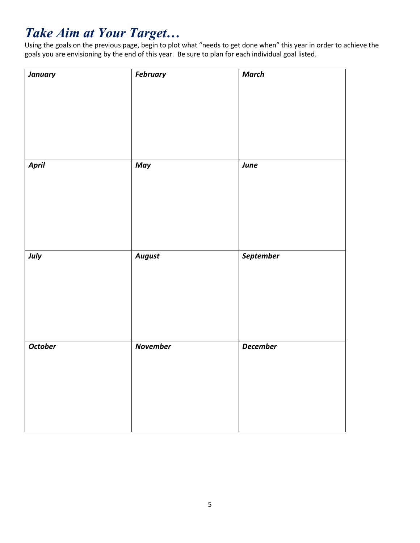# *Take Aim at Your Target…*

Using the goals on the previous page, begin to plot what "needs to get done when" this year in order to achieve the goals you are envisioning by the end of this year. Be sure to plan for each individual goal listed.

| <b>January</b> | <b>February</b> | <b>March</b>    |
|----------------|-----------------|-----------------|
|                |                 |                 |
| April          | May             | June            |
| July           | <b>August</b>   | September       |
| <b>October</b> | <b>November</b> | <b>December</b> |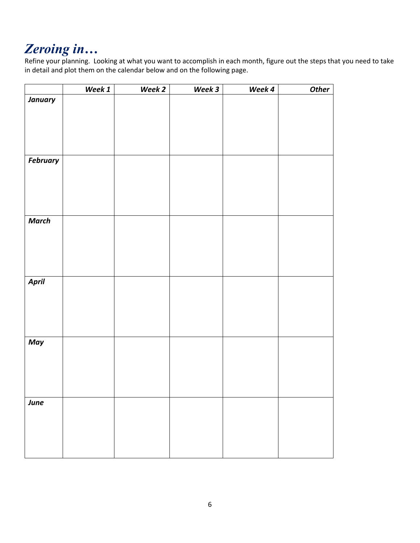## *Zeroing in…*

Refine your planning. Looking at what you want to accomplish in each month, figure out the steps that you need to take in detail and plot them on the calendar below and on the following page.

|                 | Week 1 | Week 2 | Week 3 | Week 4 | <b>Other</b> |
|-----------------|--------|--------|--------|--------|--------------|
| <b>January</b>  |        |        |        |        |              |
|                 |        |        |        |        |              |
|                 |        |        |        |        |              |
|                 |        |        |        |        |              |
|                 |        |        |        |        |              |
| <b>February</b> |        |        |        |        |              |
|                 |        |        |        |        |              |
|                 |        |        |        |        |              |
|                 |        |        |        |        |              |
|                 |        |        |        |        |              |
|                 |        |        |        |        |              |
| <b>March</b>    |        |        |        |        |              |
|                 |        |        |        |        |              |
|                 |        |        |        |        |              |
|                 |        |        |        |        |              |
|                 |        |        |        |        |              |
| April           |        |        |        |        |              |
|                 |        |        |        |        |              |
|                 |        |        |        |        |              |
|                 |        |        |        |        |              |
|                 |        |        |        |        |              |
|                 |        |        |        |        |              |
| May             |        |        |        |        |              |
|                 |        |        |        |        |              |
|                 |        |        |        |        |              |
|                 |        |        |        |        |              |
|                 |        |        |        |        |              |
| June            |        |        |        |        |              |
|                 |        |        |        |        |              |
|                 |        |        |        |        |              |
|                 |        |        |        |        |              |
|                 |        |        |        |        |              |
|                 |        |        |        |        |              |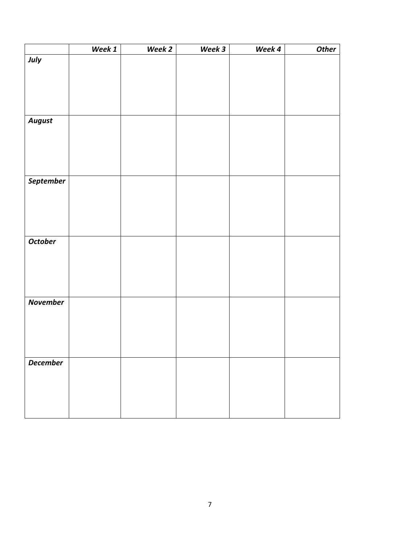|                 | Week 1 | Week 2 | Week 3 | Week 4 | <b>Other</b> |
|-----------------|--------|--------|--------|--------|--------------|
| July            |        |        |        |        |              |
|                 |        |        |        |        |              |
|                 |        |        |        |        |              |
|                 |        |        |        |        |              |
|                 |        |        |        |        |              |
| <b>August</b>   |        |        |        |        |              |
|                 |        |        |        |        |              |
|                 |        |        |        |        |              |
|                 |        |        |        |        |              |
|                 |        |        |        |        |              |
|                 |        |        |        |        |              |
| September       |        |        |        |        |              |
|                 |        |        |        |        |              |
|                 |        |        |        |        |              |
|                 |        |        |        |        |              |
|                 |        |        |        |        |              |
| October         |        |        |        |        |              |
|                 |        |        |        |        |              |
|                 |        |        |        |        |              |
|                 |        |        |        |        |              |
|                 |        |        |        |        |              |
|                 |        |        |        |        |              |
| <b>November</b> |        |        |        |        |              |
|                 |        |        |        |        |              |
|                 |        |        |        |        |              |
|                 |        |        |        |        |              |
|                 |        |        |        |        |              |
| <b>December</b> |        |        |        |        |              |
|                 |        |        |        |        |              |
|                 |        |        |        |        |              |
|                 |        |        |        |        |              |
|                 |        |        |        |        |              |
|                 |        |        |        |        |              |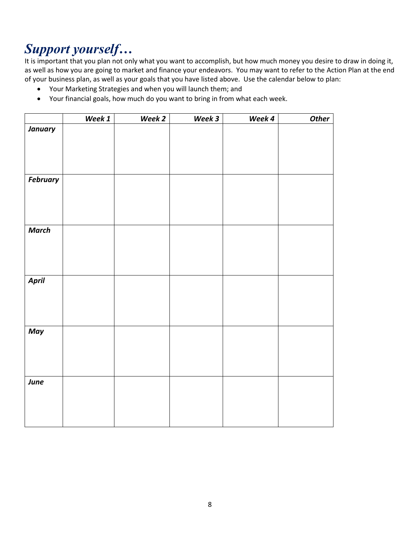# *Support yourself…*

It is important that you plan not only what you want to accomplish, but how much money you desire to draw in doing it, as well as how you are going to market and finance your endeavors. You may want to refer to the Action Plan at the end of your business plan, as well as your goals that you have listed above. Use the calendar below to plan:

- Your Marketing Strategies and when you will launch them; and
- Your financial goals, how much do you want to bring in from what each week.

| <b>January</b><br><b>February</b><br><b>March</b><br>April<br>May | <b>Other</b> |
|-------------------------------------------------------------------|--------------|
|                                                                   |              |
|                                                                   |              |
|                                                                   |              |
|                                                                   |              |
|                                                                   |              |
|                                                                   |              |
|                                                                   |              |
|                                                                   |              |
|                                                                   |              |
|                                                                   |              |
|                                                                   |              |
|                                                                   |              |
|                                                                   |              |
|                                                                   |              |
|                                                                   |              |
|                                                                   |              |
|                                                                   |              |
|                                                                   |              |
|                                                                   |              |
|                                                                   |              |
|                                                                   |              |
|                                                                   |              |
|                                                                   |              |
|                                                                   |              |
| June                                                              |              |
|                                                                   |              |
|                                                                   |              |
|                                                                   |              |
|                                                                   |              |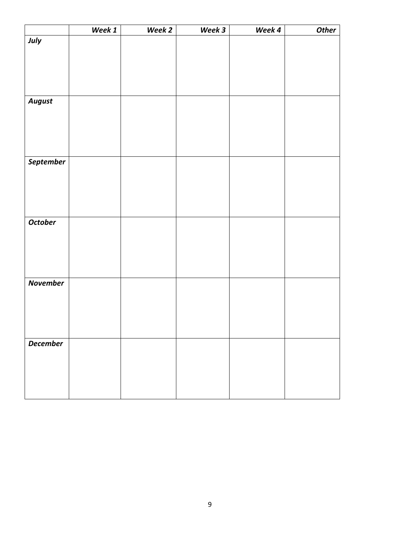|                 | Week 1 | Week 2 | Week 3 | Week 4 | <b>Other</b> |
|-----------------|--------|--------|--------|--------|--------------|
| July            |        |        |        |        |              |
|                 |        |        |        |        |              |
|                 |        |        |        |        |              |
|                 |        |        |        |        |              |
|                 |        |        |        |        |              |
| <b>August</b>   |        |        |        |        |              |
|                 |        |        |        |        |              |
|                 |        |        |        |        |              |
|                 |        |        |        |        |              |
|                 |        |        |        |        |              |
|                 |        |        |        |        |              |
| September       |        |        |        |        |              |
|                 |        |        |        |        |              |
|                 |        |        |        |        |              |
|                 |        |        |        |        |              |
|                 |        |        |        |        |              |
| <b>October</b>  |        |        |        |        |              |
|                 |        |        |        |        |              |
|                 |        |        |        |        |              |
|                 |        |        |        |        |              |
|                 |        |        |        |        |              |
|                 |        |        |        |        |              |
|                 |        |        |        |        |              |
|                 |        |        |        |        |              |
|                 |        |        |        |        |              |
|                 |        |        |        |        |              |
|                 |        |        |        |        |              |
| <b>December</b> |        |        |        |        |              |
|                 |        |        |        |        |              |
|                 |        |        |        |        |              |
|                 |        |        |        |        |              |
|                 |        |        |        |        |              |
| <b>November</b> |        |        |        |        |              |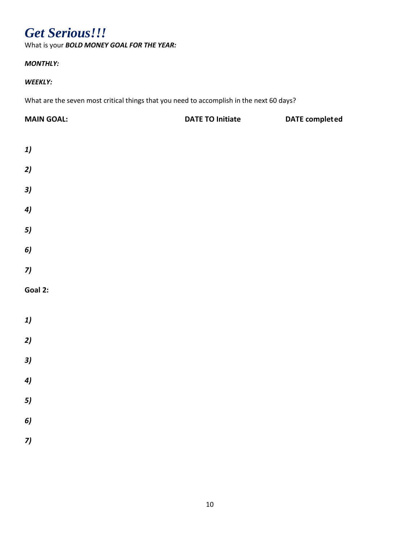### *Get Serious!!!*

What is your *BOLD MONEY GOAL FOR THE YEAR:*

### *MONTHLY:*

#### *WEEKLY:*

What are the seven most critical things that you need to accomplish in the next 60 days?

| <b>DATE TO Initiate</b><br><b>DATE</b> completed |  |
|--------------------------------------------------|--|
|                                                  |  |
|                                                  |  |
|                                                  |  |
|                                                  |  |
|                                                  |  |
|                                                  |  |
|                                                  |  |
|                                                  |  |
|                                                  |  |
|                                                  |  |
|                                                  |  |
|                                                  |  |
|                                                  |  |
|                                                  |  |
|                                                  |  |
|                                                  |  |
|                                                  |  |
|                                                  |  |